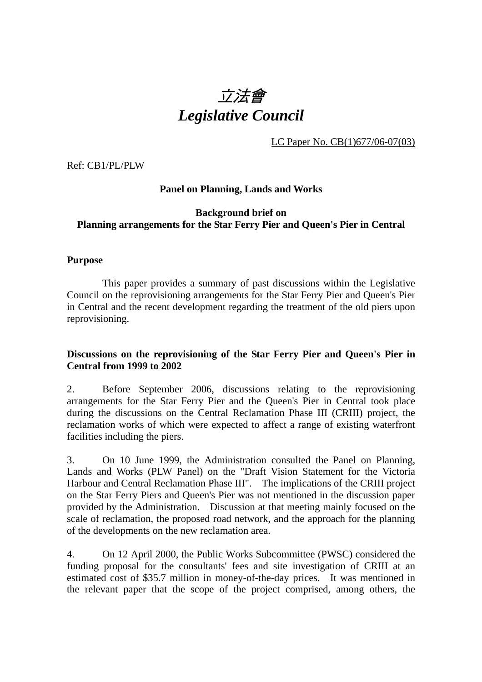# 立法會 *Legislative Council*

LC Paper No. CB(1)677/06-07(03)

Ref: CB1/PL/PLW

#### **Panel on Planning, Lands and Works**

#### **Background brief on Planning arrangements for the Star Ferry Pier and Queen's Pier in Central**

#### **Purpose**

 This paper provides a summary of past discussions within the Legislative Council on the reprovisioning arrangements for the Star Ferry Pier and Queen's Pier in Central and the recent development regarding the treatment of the old piers upon reprovisioning.

#### **Discussions on the reprovisioning of the Star Ferry Pier and Queen's Pier in Central from 1999 to 2002**

2. Before September 2006, discussions relating to the reprovisioning arrangements for the Star Ferry Pier and the Queen's Pier in Central took place during the discussions on the Central Reclamation Phase III (CRIII) project, the reclamation works of which were expected to affect a range of existing waterfront facilities including the piers.

3. On 10 June 1999, the Administration consulted the Panel on Planning, Lands and Works (PLW Panel) on the "Draft Vision Statement for the Victoria Harbour and Central Reclamation Phase III". The implications of the CRIII project on the Star Ferry Piers and Queen's Pier was not mentioned in the discussion paper provided by the Administration. Discussion at that meeting mainly focused on the scale of reclamation, the proposed road network, and the approach for the planning of the developments on the new reclamation area.

4. On 12 April 2000, the Public Works Subcommittee (PWSC) considered the funding proposal for the consultants' fees and site investigation of CRIII at an estimated cost of \$35.7 million in money-of-the-day prices. It was mentioned in the relevant paper that the scope of the project comprised, among others, the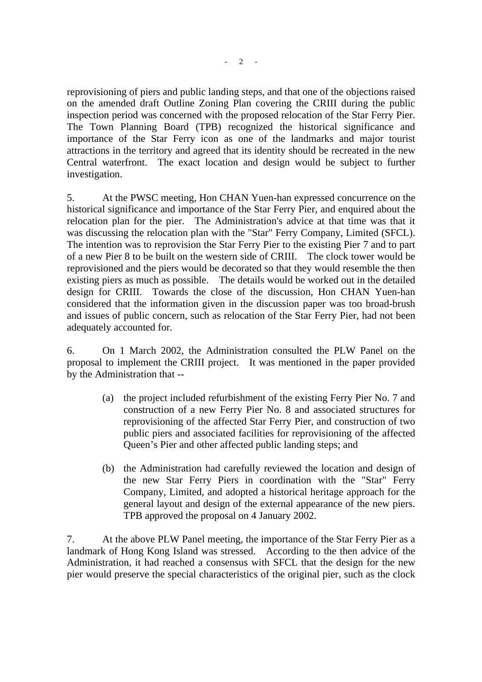reprovisioning of piers and public landing steps, and that one of the objections raised on the amended draft Outline Zoning Plan covering the CRIII during the public inspection period was concerned with the proposed relocation of the Star Ferry Pier. The Town Planning Board (TPB) recognized the historical significance and importance of the Star Ferry icon as one of the landmarks and major tourist attractions in the territory and agreed that its identity should be recreated in the new Central waterfront. The exact location and design would be subject to further investigation.

5. At the PWSC meeting, Hon CHAN Yuen-han expressed concurrence on the historical significance and importance of the Star Ferry Pier, and enquired about the relocation plan for the pier. The Administration's advice at that time was that it was discussing the relocation plan with the "Star" Ferry Company, Limited (SFCL). The intention was to reprovision the Star Ferry Pier to the existing Pier 7 and to part of a new Pier 8 to be built on the western side of CRIII. The clock tower would be reprovisioned and the piers would be decorated so that they would resemble the then existing piers as much as possible. The details would be worked out in the detailed design for CRIII. Towards the close of the discussion, Hon CHAN Yuen-han considered that the information given in the discussion paper was too broad-brush and issues of public concern, such as relocation of the Star Ferry Pier, had not been adequately accounted for.

6. On 1 March 2002, the Administration consulted the PLW Panel on the proposal to implement the CRIII project. It was mentioned in the paper provided by the Administration that --

- (a) the project included refurbishment of the existing Ferry Pier No. 7 and construction of a new Ferry Pier No. 8 and associated structures for reprovisioning of the affected Star Ferry Pier, and construction of two public piers and associated facilities for reprovisioning of the affected Queen's Pier and other affected public landing steps; and
- (b) the Administration had carefully reviewed the location and design of the new Star Ferry Piers in coordination with the "Star" Ferry Company, Limited, and adopted a historical heritage approach for the general layout and design of the external appearance of the new piers. TPB approved the proposal on 4 January 2002.

7. At the above PLW Panel meeting, the importance of the Star Ferry Pier as a landmark of Hong Kong Island was stressed. According to the then advice of the Administration, it had reached a consensus with SFCL that the design for the new pier would preserve the special characteristics of the original pier, such as the clock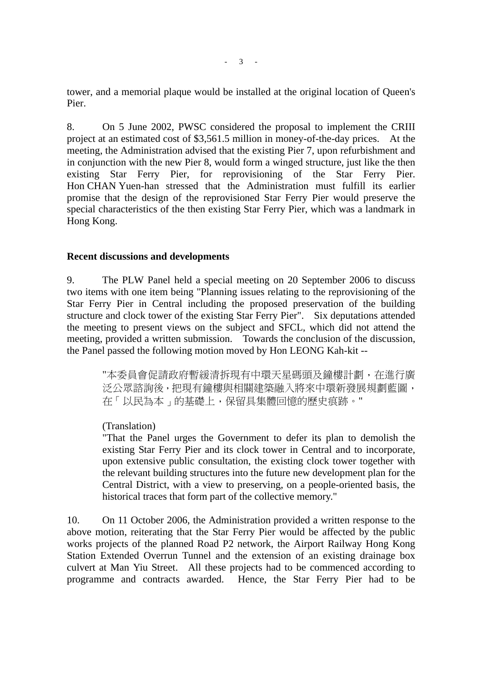tower, and a memorial plaque would be installed at the original location of Queen's Pier.

8. On 5 June 2002, PWSC considered the proposal to implement the CRIII project at an estimated cost of \$3,561.5 million in money-of-the-day prices. At the meeting, the Administration advised that the existing Pier 7, upon refurbishment and in conjunction with the new Pier 8, would form a winged structure, just like the then existing Star Ferry Pier, for reprovisioning of the Star Ferry Pier. Hon CHAN Yuen-han stressed that the Administration must fulfill its earlier promise that the design of the reprovisioned Star Ferry Pier would preserve the special characteristics of the then existing Star Ferry Pier, which was a landmark in Hong Kong.

#### **Recent discussions and developments**

9. The PLW Panel held a special meeting on 20 September 2006 to discuss two items with one item being "Planning issues relating to the reprovisioning of the Star Ferry Pier in Central including the proposed preservation of the building structure and clock tower of the existing Star Ferry Pier". Six deputations attended the meeting to present views on the subject and SFCL, which did not attend the meeting, provided a written submission. Towards the conclusion of the discussion, the Panel passed the following motion moved by Hon LEONG Kah-kit --

> "本委員會促請政府暫緩清拆現有中環天星碼頭及鐘樓計劃,在進行廣 泛公眾諮詢後,把現有鐘樓與相關建築融入將來中環新發展規劃藍圖, 在「以民為本」的基礎上,保留具集體回憶的歷史痕跡。"

#### (Translation)

"That the Panel urges the Government to defer its plan to demolish the existing Star Ferry Pier and its clock tower in Central and to incorporate, upon extensive public consultation, the existing clock tower together with the relevant building structures into the future new development plan for the Central District, with a view to preserving, on a people-oriented basis, the historical traces that form part of the collective memory."

10. On 11 October 2006, the Administration provided a written response to the above motion, reiterating that the Star Ferry Pier would be affected by the public works projects of the planned Road P2 network, the Airport Railway Hong Kong Station Extended Overrun Tunnel and the extension of an existing drainage box culvert at Man Yiu Street. All these projects had to be commenced according to programme and contracts awarded. Hence, the Star Ferry Pier had to be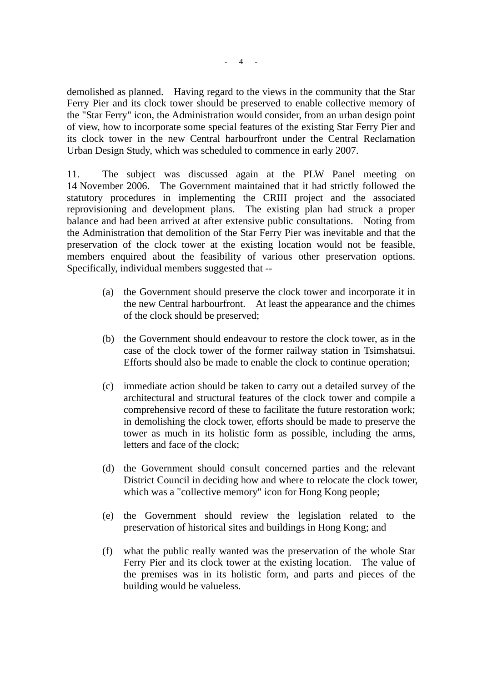demolished as planned. Having regard to the views in the community that the Star Ferry Pier and its clock tower should be preserved to enable collective memory of the "Star Ferry" icon, the Administration would consider, from an urban design point of view, how to incorporate some special features of the existing Star Ferry Pier and its clock tower in the new Central harbourfront under the Central Reclamation Urban Design Study, which was scheduled to commence in early 2007.

11. The subject was discussed again at the PLW Panel meeting on 14 November 2006. The Government maintained that it had strictly followed the statutory procedures in implementing the CRIII project and the associated reprovisioning and development plans. The existing plan had struck a proper balance and had been arrived at after extensive public consultations. Noting from the Administration that demolition of the Star Ferry Pier was inevitable and that the preservation of the clock tower at the existing location would not be feasible, members enquired about the feasibility of various other preservation options. Specifically, individual members suggested that --

- (a) the Government should preserve the clock tower and incorporate it in the new Central harbourfront. At least the appearance and the chimes of the clock should be preserved;
- (b) the Government should endeavour to restore the clock tower, as in the case of the clock tower of the former railway station in Tsimshatsui. Efforts should also be made to enable the clock to continue operation;
- (c) immediate action should be taken to carry out a detailed survey of the architectural and structural features of the clock tower and compile a comprehensive record of these to facilitate the future restoration work; in demolishing the clock tower, efforts should be made to preserve the tower as much in its holistic form as possible, including the arms, letters and face of the clock;
- (d) the Government should consult concerned parties and the relevant District Council in deciding how and where to relocate the clock tower, which was a "collective memory" icon for Hong Kong people;
- (e) the Government should review the legislation related to the preservation of historical sites and buildings in Hong Kong; and
- (f) what the public really wanted was the preservation of the whole Star Ferry Pier and its clock tower at the existing location. The value of the premises was in its holistic form, and parts and pieces of the building would be valueless.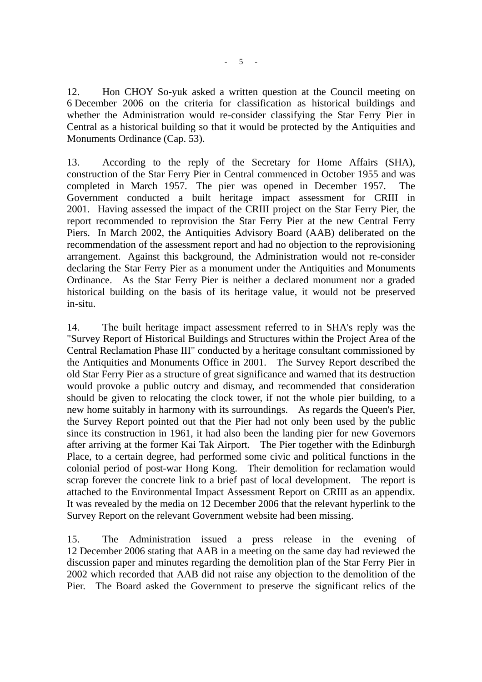$- 5 - 1$ 

12. Hon CHOY So-yuk asked a written question at the Council meeting on 6 December 2006 on the criteria for classification as historical buildings and whether the Administration would re-consider classifying the Star Ferry Pier in Central as a historical building so that it would be protected by the Antiquities and Monuments Ordinance (Cap. 53).

13. According to the reply of the Secretary for Home Affairs (SHA), construction of the Star Ferry Pier in Central commenced in October 1955 and was completed in March 1957. The pier was opened in December 1957. The Government conducted a built heritage impact assessment for CRIII in 2001. Having assessed the impact of the CRIII project on the Star Ferry Pier, the report recommended to reprovision the Star Ferry Pier at the new Central Ferry Piers. In March 2002, the Antiquities Advisory Board (AAB) deliberated on the recommendation of the assessment report and had no objection to the reprovisioning arrangement. Against this background, the Administration would not re-consider declaring the Star Ferry Pier as a monument under the Antiquities and Monuments Ordinance. As the Star Ferry Pier is neither a declared monument nor a graded historical building on the basis of its heritage value, it would not be preserved in-situ.

14. The built heritage impact assessment referred to in SHA's reply was the "Survey Report of Historical Buildings and Structures within the Project Area of the Central Reclamation Phase III" conducted by a heritage consultant commissioned by the Antiquities and Monuments Office in 2001. The Survey Report described the old Star Ferry Pier as a structure of great significance and warned that its destruction would provoke a public outcry and dismay, and recommended that consideration should be given to relocating the clock tower, if not the whole pier building, to a new home suitably in harmony with its surroundings. As regards the Queen's Pier, the Survey Report pointed out that the Pier had not only been used by the public since its construction in 1961, it had also been the landing pier for new Governors after arriving at the former Kai Tak Airport. The Pier together with the Edinburgh Place, to a certain degree, had performed some civic and political functions in the colonial period of post-war Hong Kong. Their demolition for reclamation would scrap forever the concrete link to a brief past of local development. The report is attached to the Environmental Impact Assessment Report on CRIII as an appendix. It was revealed by the media on 12 December 2006 that the relevant hyperlink to the Survey Report on the relevant Government website had been missing.

15. The Administration issued a press release in the evening of 12 December 2006 stating that AAB in a meeting on the same day had reviewed the discussion paper and minutes regarding the demolition plan of the Star Ferry Pier in 2002 which recorded that AAB did not raise any objection to the demolition of the Pier. The Board asked the Government to preserve the significant relics of the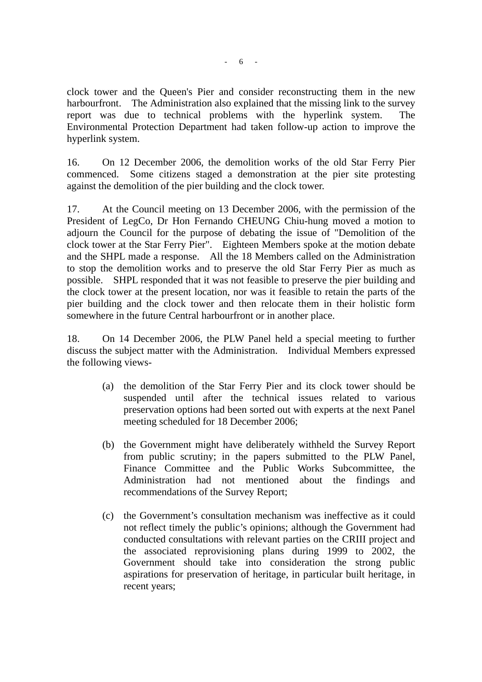clock tower and the Queen's Pier and consider reconstructing them in the new harbourfront. The Administration also explained that the missing link to the survey report was due to technical problems with the hyperlink system. The Environmental Protection Department had taken follow-up action to improve the hyperlink system.

16. On 12 December 2006, the demolition works of the old Star Ferry Pier commenced. Some citizens staged a demonstration at the pier site protesting against the demolition of the pier building and the clock tower.

17. At the Council meeting on 13 December 2006, with the permission of the President of LegCo, Dr Hon Fernando CHEUNG Chiu-hung moved a motion to adjourn the Council for the purpose of debating the issue of "Demolition of the clock tower at the Star Ferry Pier". Eighteen Members spoke at the motion debate and the SHPL made a response. All the 18 Members called on the Administration to stop the demolition works and to preserve the old Star Ferry Pier as much as possible. SHPL responded that it was not feasible to preserve the pier building and the clock tower at the present location, nor was it feasible to retain the parts of the pier building and the clock tower and then relocate them in their holistic form somewhere in the future Central harbourfront or in another place.

18. On 14 December 2006, the PLW Panel held a special meeting to further discuss the subject matter with the Administration. Individual Members expressed the following views-

- (a) the demolition of the Star Ferry Pier and its clock tower should be suspended until after the technical issues related to various preservation options had been sorted out with experts at the next Panel meeting scheduled for 18 December 2006;
- (b) the Government might have deliberately withheld the Survey Report from public scrutiny; in the papers submitted to the PLW Panel, Finance Committee and the Public Works Subcommittee, the Administration had not mentioned about the findings and recommendations of the Survey Report;
- (c) the Government's consultation mechanism was ineffective as it could not reflect timely the public's opinions; although the Government had conducted consultations with relevant parties on the CRIII project and the associated reprovisioning plans during 1999 to 2002, the Government should take into consideration the strong public aspirations for preservation of heritage, in particular built heritage, in recent years;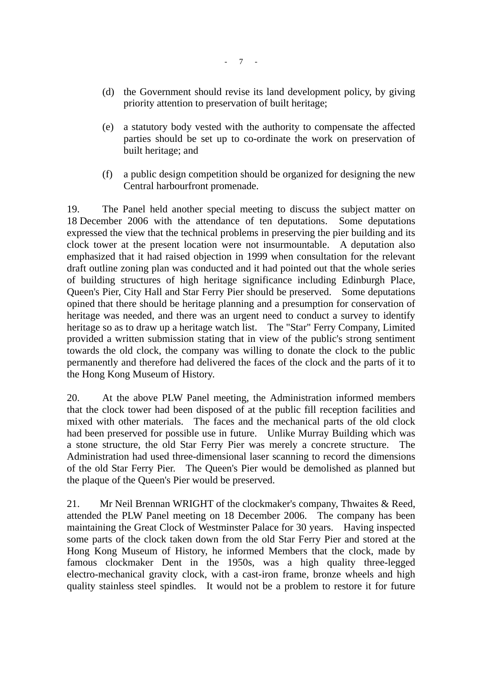- (d) the Government should revise its land development policy, by giving priority attention to preservation of built heritage;
- (e) a statutory body vested with the authority to compensate the affected parties should be set up to co-ordinate the work on preservation of built heritage; and
- (f) a public design competition should be organized for designing the new Central harbourfront promenade.

19. The Panel held another special meeting to discuss the subject matter on 18 December 2006 with the attendance of ten deputations. Some deputations expressed the view that the technical problems in preserving the pier building and its clock tower at the present location were not insurmountable. A deputation also emphasized that it had raised objection in 1999 when consultation for the relevant draft outline zoning plan was conducted and it had pointed out that the whole series of building structures of high heritage significance including Edinburgh Place, Queen's Pier, City Hall and Star Ferry Pier should be preserved. Some deputations opined that there should be heritage planning and a presumption for conservation of heritage was needed, and there was an urgent need to conduct a survey to identify heritage so as to draw up a heritage watch list. The "Star" Ferry Company, Limited provided a written submission stating that in view of the public's strong sentiment towards the old clock, the company was willing to donate the clock to the public permanently and therefore had delivered the faces of the clock and the parts of it to the Hong Kong Museum of History.

20. At the above PLW Panel meeting, the Administration informed members that the clock tower had been disposed of at the public fill reception facilities and mixed with other materials. The faces and the mechanical parts of the old clock had been preserved for possible use in future. Unlike Murray Building which was a stone structure, the old Star Ferry Pier was merely a concrete structure. The Administration had used three-dimensional laser scanning to record the dimensions of the old Star Ferry Pier. The Queen's Pier would be demolished as planned but the plaque of the Queen's Pier would be preserved.

21. Mr Neil Brennan WRIGHT of the clockmaker's company, Thwaites & Reed, attended the PLW Panel meeting on 18 December 2006. The company has been maintaining the Great Clock of Westminster Palace for 30 years. Having inspected some parts of the clock taken down from the old Star Ferry Pier and stored at the Hong Kong Museum of History, he informed Members that the clock, made by famous clockmaker Dent in the 1950s, was a high quality three-legged electro-mechanical gravity clock, with a cast-iron frame, bronze wheels and high quality stainless steel spindles. It would not be a problem to restore it for future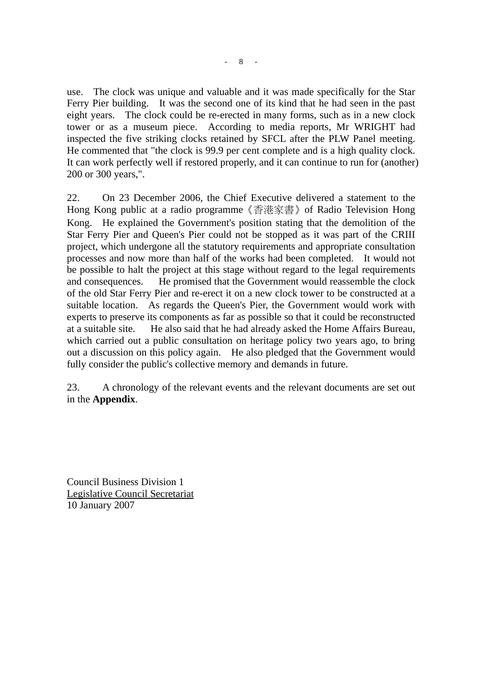use. The clock was unique and valuable and it was made specifically for the Star Ferry Pier building. It was the second one of its kind that he had seen in the past eight years. The clock could be re-erected in many forms, such as in a new clock tower or as a museum piece. According to media reports, Mr WRIGHT had inspected the five striking clocks retained by SFCL after the PLW Panel meeting. He commented that "the clock is 99.9 per cent complete and is a high quality clock. It can work perfectly well if restored properly, and it can continue to run for (another) 200 or 300 years,".

22. On 23 December 2006, the Chief Executive delivered a statement to the Hong Kong public at a radio programme《香港家書》of Radio Television Hong Kong. He explained the Government's position stating that the demolition of the Star Ferry Pier and Queen's Pier could not be stopped as it was part of the CRIII project, which undergone all the statutory requirements and appropriate consultation processes and now more than half of the works had been completed. It would not be possible to halt the project at this stage without regard to the legal requirements and consequences. He promised that the Government would reassemble the clock of the old Star Ferry Pier and re-erect it on a new clock tower to be constructed at a suitable location. As regards the Queen's Pier, the Government would work with experts to preserve its components as far as possible so that it could be reconstructed at a suitable site. He also said that he had already asked the Home Affairs Bureau, which carried out a public consultation on heritage policy two years ago, to bring out a discussion on this policy again. He also pledged that the Government would fully consider the public's collective memory and demands in future.

23. A chronology of the relevant events and the relevant documents are set out in the **Appendix**.

Council Business Division 1 Legislative Council Secretariat 10 January 2007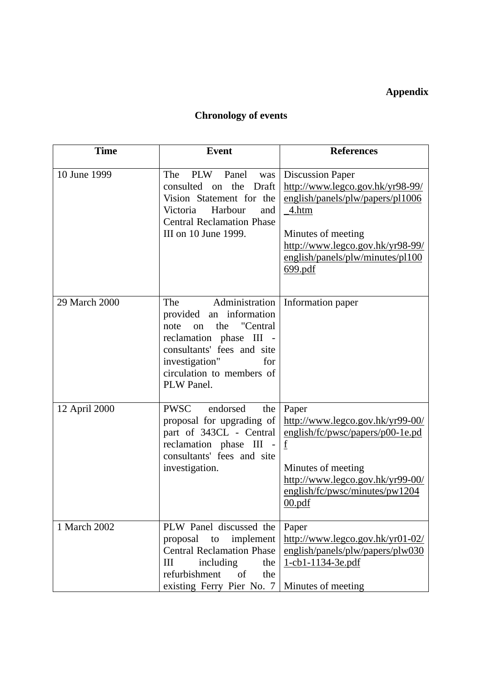### **Appendix**

## **Chronology of events**

| <b>Time</b>   | <b>Event</b>                                                                                                                                                                                                   | <b>References</b>                                                                                                                                                                                                 |
|---------------|----------------------------------------------------------------------------------------------------------------------------------------------------------------------------------------------------------------|-------------------------------------------------------------------------------------------------------------------------------------------------------------------------------------------------------------------|
| 10 June 1999  | The<br>PLW<br>Panel<br>was<br>consulted on<br>the<br>Draft<br>Vision Statement for the<br>Victoria<br>Harbour<br>and<br><b>Central Reclamation Phase</b><br>III on 10 June 1999.                               | <b>Discussion Paper</b><br>http://www.legco.gov.hk/yr98-99/<br>english/panels/plw/papers/pl1006<br>4.htm<br>Minutes of meeting<br>http://www.legco.gov.hk/yr98-99/<br>english/panels/plw/minutes/pl100<br>699.pdf |
| 29 March 2000 | Administration<br>The<br>provided an information<br>the<br>"Central<br>note<br>on<br>reclamation phase III -<br>consultants' fees and site<br>investigation"<br>for<br>circulation to members of<br>PLW Panel. | Information paper                                                                                                                                                                                                 |
| 12 April 2000 | <b>PWSC</b><br>endorsed<br>the<br>proposal for upgrading of<br>part of 343CL - Central<br>reclamation phase III<br>consultants' fees and site<br>investigation.                                                | Paper<br>http://www.legco.gov.hk/yr99-00/<br>english/fc/pwsc/papers/p00-1e.pd<br>f<br>Minutes of meeting<br>http://www.legco.gov.hk/yr99-00/<br>english/fc/pwsc/minutes/pw1204<br>00.pdf                          |
| 1 March 2002  | PLW Panel discussed the<br>proposal<br>implement<br>to<br><b>Central Reclamation Phase</b><br>Ш<br>including<br>the<br>refurbishment<br><sub>of</sub><br>the<br>existing Ferry Pier No. 7                      | Paper<br>http://www.legco.gov.hk/yr01-02/<br>english/panels/plw/papers/plw030<br>1-cb1-1134-3e.pdf<br>Minutes of meeting                                                                                          |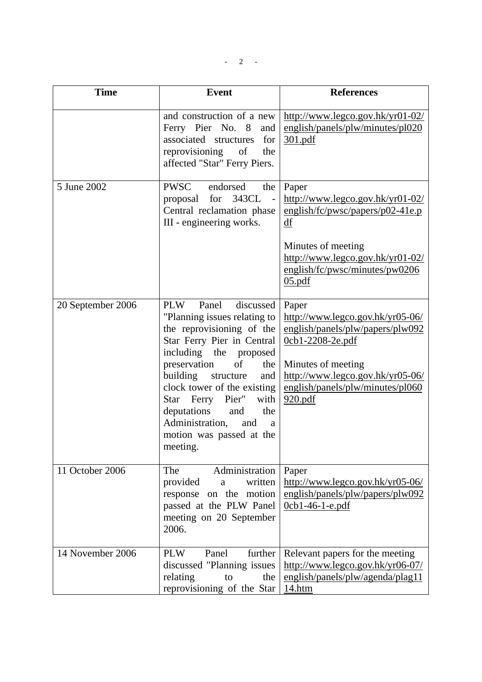$- 2 -$ 

| <b>Time</b>       | <b>Event</b>                                                                                                                                                                                                                                                                                                                                                                      | <b>References</b>                                                                                                                                                                                            |
|-------------------|-----------------------------------------------------------------------------------------------------------------------------------------------------------------------------------------------------------------------------------------------------------------------------------------------------------------------------------------------------------------------------------|--------------------------------------------------------------------------------------------------------------------------------------------------------------------------------------------------------------|
|                   | and construction of a new<br>Ferry Pier No. 8<br>and<br>associated structures<br>for<br>reprovisioning<br>of<br>the<br>affected "Star" Ferry Piers.                                                                                                                                                                                                                               | http://www.legco.gov.hk/yr01-02/<br>english/panels/plw/minutes/pl020<br>301.pdf                                                                                                                              |
| 5 June 2002       | PWSC<br>endorsed<br>the<br>343CL<br>proposal for<br>$\overline{a}$<br>Central reclamation phase<br>III - engineering works.                                                                                                                                                                                                                                                       | Paper<br>http://www.legco.gov.hk/yr01-02/<br>english/fc/pwsc/papers/p02-41e.p<br>df<br>Minutes of meeting<br>http://www.legco.gov.hk/yr01-02/<br>english/fc/pwsc/minutes/pw0206<br>05.pdf                    |
| 20 September 2006 | Panel<br>discussed<br><b>PLW</b><br>"Planning issues relating to<br>the reprovisioning of the<br>Star Ferry Pier in Central<br>including the proposed<br>preservation<br>of<br>the<br>building<br>structure<br>and<br>clock tower of the existing<br>Star Ferry Pier"<br>with<br>deputations<br>the<br>and<br>Administration,<br>and<br>a<br>motion was passed at the<br>meeting. | Paper<br>http://www.legco.gov.hk/yr05-06/<br>english/panels/plw/papers/plw092<br>$0cb1-2208-2e.pdf$<br>Minutes of meeting<br>http://www.legco.gov.hk/yr05-06/<br>english/panels/plw/minutes/pl060<br>920.pdf |
| 11 October 2006   | Administration<br>The<br>provided<br>written<br>a<br>response on the motion<br>passed at the PLW Panel<br>meeting on 20 September<br>2006.                                                                                                                                                                                                                                        | Paper<br>http://www.legco.gov.hk/yr05-06/<br>english/panels/plw/papers/plw092<br>$0cb1-46-1-e.pdf$                                                                                                           |
| 14 November 2006  | further<br><b>PLW</b><br>Panel<br>discussed "Planning issues<br>relating<br>the<br>to<br>reprovisioning of the Star                                                                                                                                                                                                                                                               | Relevant papers for the meeting<br>http://www.legco.gov.hk/yr06-07/<br>english/panels/plw/agenda/plag11<br>14.htm                                                                                            |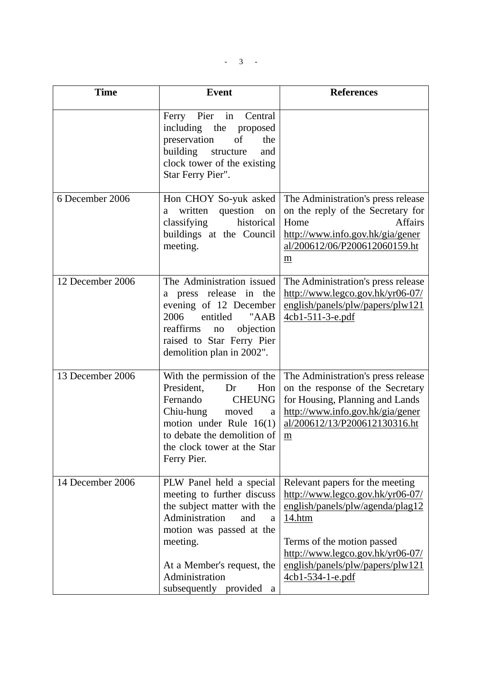| <b>Time</b>      | <b>Event</b>                                                                                                                                                                                                                                 | <b>References</b>                                                                                                                                                                                                                           |
|------------------|----------------------------------------------------------------------------------------------------------------------------------------------------------------------------------------------------------------------------------------------|---------------------------------------------------------------------------------------------------------------------------------------------------------------------------------------------------------------------------------------------|
|                  | Pier in<br>Central<br>Ferry<br>including the<br>proposed<br>preservation<br>of<br>the<br>building<br>structure<br>and<br>clock tower of the existing<br>Star Ferry Pier".                                                                    |                                                                                                                                                                                                                                             |
| 6 December 2006  | Hon CHOY So-yuk asked<br>question on<br>written<br>a<br>classifying<br>historical<br>buildings at the Council<br>meeting.                                                                                                                    | The Administration's press release<br>on the reply of the Secretary for<br>Home<br><b>Affairs</b><br>http://www.info.gov.hk/gia/gener<br>al/200612/06/P200612060159.ht<br>$\underline{m}$                                                   |
| 12 December 2006 | The Administration issued<br>press release in the<br>a<br>evening of 12 December<br>2006<br>entitled<br>"AAB<br>reaffirms<br>objection<br>no<br>raised to Star Ferry Pier<br>demolition plan in 2002".                                       | The Administration's press release<br>http://www.legco.gov.hk/yr06-07/<br>english/panels/plw/papers/plw121<br>4cb1-511-3-e.pdf                                                                                                              |
| 13 December 2006 | With the permission of the<br>President,<br>Hon<br>Dr<br>Fernando<br><b>CHEUNG</b><br>Chiu-hung<br>moved<br>a<br>motion under Rule $16(1)$<br>to debate the demolition of<br>the clock tower at the Star<br>Ferry Pier.                      | The Administration's press release<br>on the response of the Secretary<br>for Housing, Planning and Lands<br>http://www.info.gov.hk/gia/gener<br>al/200612/13/P200612130316.ht<br>m                                                         |
| 14 December 2006 | PLW Panel held a special<br>meeting to further discuss<br>the subject matter with the<br>Administration<br>and<br>a<br>motion was passed at the<br>meeting.<br>At a Member's request, the<br>Administration<br>subsequently<br>provided<br>a | Relevant papers for the meeting<br>http://www.legco.gov.hk/yr06-07/<br>english/panels/plw/agenda/plag12<br>14.htm<br>Terms of the motion passed<br>http://www.legco.gov.hk/yr06-07/<br>english/panels/plw/papers/plw121<br>4cb1-534-1-e.pdf |